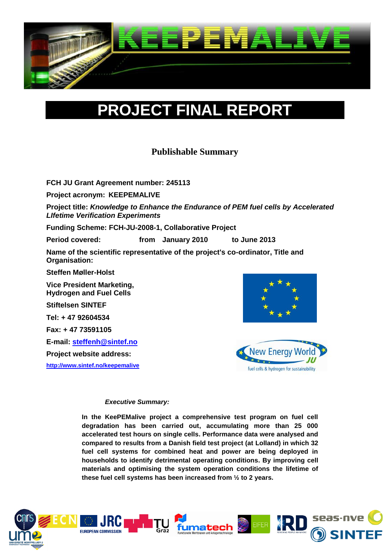

# **PROJECT FINAL REPOR**

# **Publishable Summary**

**FCH JU Grant Agreement number: 245113**

**Project acronym: KEEPEMALIVE**

**Project title:** *Knowledge to Enhance the Endurance of PEM fuel cells by Accelerated LIfetime Verification Experiments*

**Funding Scheme: FCH-JU-2008-1, Collaborative Project**

**Period covered: from January 2010 to June 2013**

**Name of the scientific representative of the project's co-ordinator, Title and Organisation:** 

**Steffen Møller-Holst**

**Vice President Marketing, Hydrogen and Fuel Cells**

**Stiftelsen SINTEF**

**Tel: + 47 92604534**

**Fax: + 47 73591105**

**E-mail: [steffenh@sintef.no](mailto:steffenh@sintef.no)**

**Project website address: <http://www.sintef.no/keepemalive>**





#### *Executive Summary:*

**In the KeePEMalive project a comprehensive test program on fuel cell degradation has been carried out, accumulating more than 25 000 accelerated test hours on single cells. Performance data were analysed and compared to results from a Danish field test project (at Lolland) in which 32 fuel cell systems for combined heat and power are being deployed in households to identify detrimental operating conditions. By improving cell materials and optimising the system operation conditions the lifetime of these fuel cell systems has been increased from ½ to 2 years.**

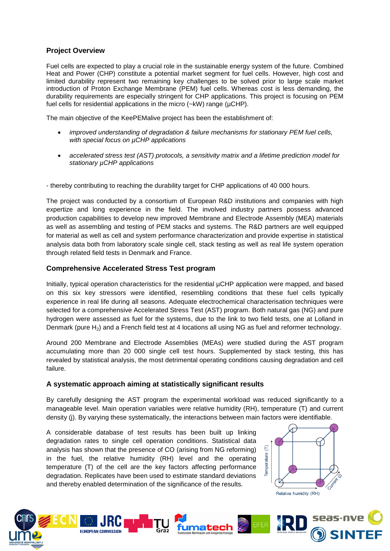## **Project Overview**

Fuel cells are expected to play a crucial role in the sustainable energy system of the future. Combined Heat and Power (CHP) constitute a potential market segment for fuel cells. However, high cost and limited durability represent two remaining key challenges to be solved prior to large scale market introduction of Proton Exchange Membrane (PEM) fuel cells. Whereas cost is less demanding, the durability requirements are especially stringent for CHP applications. This project is focusing on PEM fuel cells for residential applications in the micro (~kW) range (µCHP).

The main objective of the KeePEMalive project has been the establishment of:

- *improved understanding of degradation & failure mechanisms for stationary PEM fuel cells, with special focus on µCHP applications*
- *accelerated stress test (AST) protocols, a sensitivity matrix and a lifetime prediction model for stationary µCHP applications*

- thereby contributing to reaching the durability target for CHP applications of 40 000 hours.

The project was conducted by a consortium of European R&D institutions and companies with high expertize and long experience in the field. The involved industry partners possess advanced production capabilities to develop new improved Membrane and Electrode Assembly (MEA) materials as well as assembling and testing of PEM stacks and systems. The R&D partners are well equipped for material as well as cell and system performance characterization and provide expertise in statistical analysis data both from laboratory scale single cell, stack testing as well as real life system operation through related field tests in Denmark and France.

## **Comprehensive Accelerated Stress Test program**

Initially, typical operation characteristics for the residential µCHP application were mapped, and based on this six key stressors were identified, resembling conditions that these fuel cells typically experience in real life during all seasons. Adequate electrochemical characterisation techniques were selected for a comprehensive Accelerated Stress Test (AST) program. Both natural gas (NG) and pure hydrogen were assessed as fuel for the systems, due to the link to two field tests, one at Lolland in Denmark (pure  $H_2$ ) and a French field test at 4 locations all using NG as fuel and reformer technology.

Around 200 Membrane and Electrode Assemblies (MEAs) were studied during the AST program accumulating more than 20 000 single cell test hours. Supplemented by stack testing, this has revealed by statistical analysis, the most detrimental operating conditions causing degradation and cell failure.

## **A systematic approach aiming at statistically significant results**

By carefully designing the AST program the experimental workload was reduced significantly to a manageable level. Main operation variables were relative humidity (RH), temperature (T) and current density (j). By varying these systematically, the interactions between main factors were identifiable.

fumatech

A considerable database of test results has been built up linking degradation rates to single cell operation conditions. Statistical data analysis has shown that the presence of CO (arising from NG reforming) in the fuel, the relative humidity (RH) level and the operating temperature (T) of the cell are the key factors affecting performance degradation. Replicates have been used to estimate standard deviations and thereby enabled determination of the significance of the results.





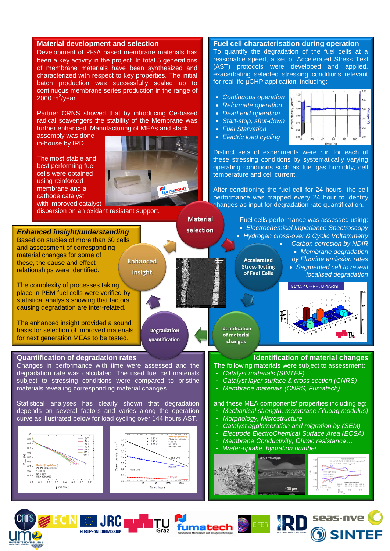